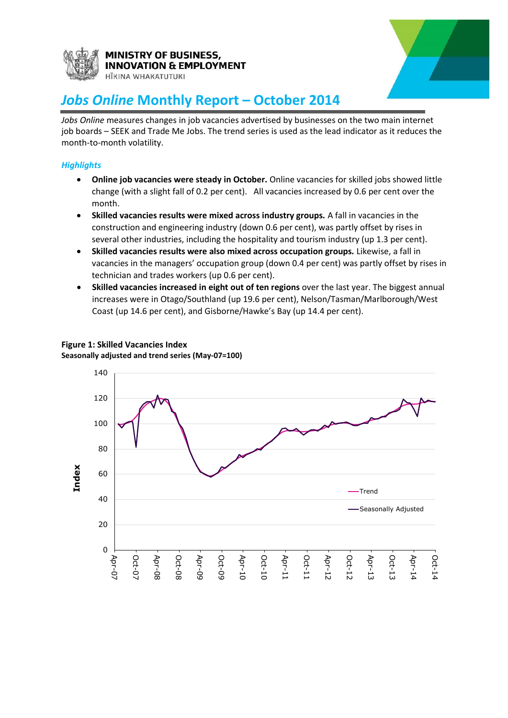

## **MINISTRY OF BUSINESS, NOVATION & EMPLOYMENT**



### HĪKINA WHAKATUTUKI

# *Jobs Online* **Monthly Report – October 2014**

*Jobs Online* measures changes in job vacancies advertised by businesses on the two main internet job boards – SEEK and Trade Me Jobs. The trend series is used as the lead indicator as it reduces the month-to-month volatility.

### *Highlights*

- **Online job vacancies were steady in October.** Online vacancies for skilled jobs showed little change (with a slight fall of 0.2 per cent). All vacancies increased by 0.6 per cent over the month.
- **Skilled vacancies results were mixed across industry groups***.* A fall in vacancies in the construction and engineering industry (down 0.6 per cent), was partly offset by rises in several other industries, including the hospitality and tourism industry (up 1.3 per cent).
- **Skilled vacancies results were also mixed across occupation groups***.* Likewise, a fall in vacancies in the managers' occupation group (down 0.4 per cent) was partly offset by rises in technician and trades workers (up 0.6 per cent).
- **Skilled vacancies increased in eight out of ten regions** over the last year. The biggest annual increases were in Otago/Southland (up 19.6 per cent), Nelson/Tasman/Marlborough/West Coast (up 14.6 per cent), and Gisborne/Hawke's Bay (up 14.4 per cent).

## **Figure 1: Skilled Vacancies Index**

**Seasonally adjusted and trend series (May-07=100)**

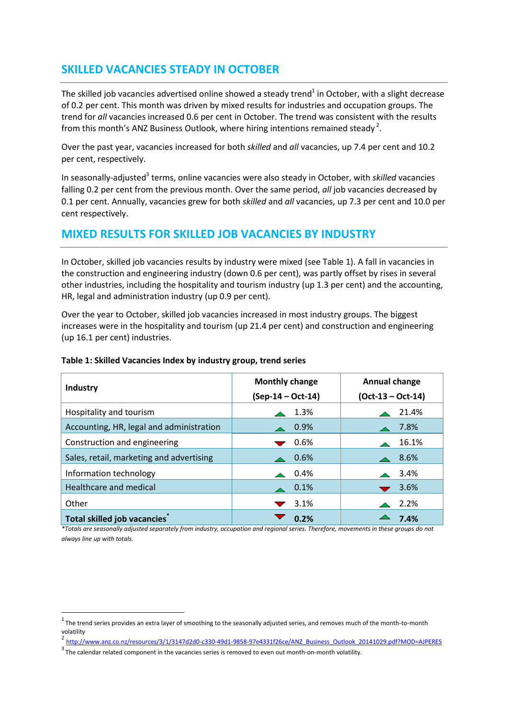## **SKILLED VACANCIES STEADY IN OCTOBER**

The skilled job vacancies advertised online showed a steady trend<sup>1</sup> in October, with a slight decrease of 0.2 per cent. This month was driven by mixed results for industries and occupation groups. The trend for *all* vacancies increased 0.6 per cent in October. The trend was consistent with the results from this month's ANZ Business Outlook, where hiring intentions remained steady<sup>2</sup>.

Over the past year, vacancies increased for both *skilled* and *all* vacancies, up 7.4 per cent and 10.2 per cent, respectively.

In seasonally-adjusted<sup>3</sup> terms, online vacancies were also steady in October, with *skilled* vacancies falling 0.2 per cent from the previous month. Over the same period, *all* job vacancies decreased by 0.1 per cent. Annually, vacancies grew for both *skilled* and *all* vacancies, up 7.3 per cent and 10.0 per cent respectively.

## **MIXED RESULTS FOR SKILLED JOB VACANCIES BY INDUSTRY**

In October, skilled job vacancies results by industry were mixed (see Table 1). A fall in vacancies in the construction and engineering industry (down 0.6 per cent), was partly offset by rises in several other industries, including the hospitality and tourism industry (up 1.3 per cent) and the accounting, HR, legal and administration industry (up 0.9 per cent).

Over the year to October, skilled job vacancies increased in most industry groups. The biggest increases were in the hospitality and tourism (up 21.4 per cent) and construction and engineering (up 16.1 per cent) industries.

| rapic 1. JRIIICU Vacaricics Index by Industry group, trend scries |                       |                                      |  |  |  |  |
|-------------------------------------------------------------------|-----------------------|--------------------------------------|--|--|--|--|
| Industry                                                          | <b>Monthly change</b> | Annual change<br>$(Oct-13 - Oct-14)$ |  |  |  |  |
|                                                                   | (Sep-14 - Oct-14)     |                                      |  |  |  |  |
| Hospitality and tourism                                           | 1.3%                  | 21.4%                                |  |  |  |  |
| Accounting, HR, legal and administration                          | 0.9%                  | 7.8%                                 |  |  |  |  |
| Construction and engineering                                      | 0.6%                  | 16.1%                                |  |  |  |  |
| Sales, retail, marketing and advertising                          | 0.6%                  | 8.6%                                 |  |  |  |  |
| Information technology                                            | 0.4%                  | 3.4%                                 |  |  |  |  |
| Healthcare and medical                                            | 0.1%                  | 3.6%                                 |  |  |  |  |
| Other                                                             | 3.1%                  | 2.2%                                 |  |  |  |  |
|                                                                   |                       |                                      |  |  |  |  |

#### **Table 1: Skilled Vacancies Index by industry group, trend series**

**Total skilled job vacancies\***

**.** 

*\*Totals are seasonally adjusted separately from industry, occupation and regional series. Therefore, movements in these groups do not always line up with totals.*

**0.2% 7.4%**

 $1$  The trend series provides an extra layer of smoothing to the seasonally adjusted series, and removes much of the month-to-month volatility

<sup>2</sup> [http://www.anz.co.nz/resources/3/1/3147d2d0-c330-49d1-9858-97e4331f26ce/ANZ\\_Business\\_Outlook\\_20141029.pdf?MOD=AJPERES](http://www.anz.co.nz/resources/3/1/3147d2d0-c330-49d1-9858-97e4331f26ce/ANZ_Business_Outlook_20141029.pdf?MOD=AJPERES)

 $3$  The calendar related component in the vacancies series is removed to even out month-on-month volatility.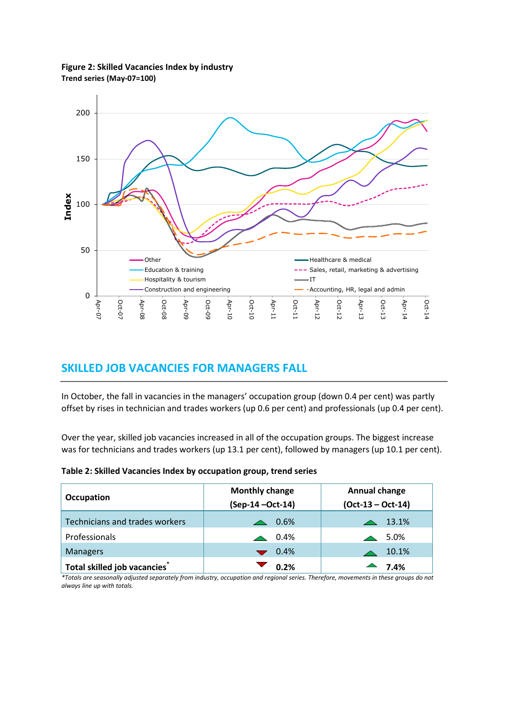**Figure 2: Skilled Vacancies Index by industry Trend series (May-07=100)**



## **SKILLED JOB VACANCIES FOR MANAGERS FALL**

In October, the fall in vacancies in the managers' occupation group (down 0.4 per cent) was partly offset by rises in technician and trades workers (up 0.6 per cent) and professionals (up 0.4 per cent).

Over the year, skilled job vacancies increased in all of the occupation groups. The biggest increase was for technicians and trades workers (up 13.1 per cent), followed by managers (up 10.1 per cent).

|                                | <b>Monthly change</b> | Annual change       |  |  |
|--------------------------------|-----------------------|---------------------|--|--|
| Occupation                     | (Sep-14-Oct-14)       | $(Oct-13 - Oct-14)$ |  |  |
| Technicians and trades workers | $\triangle$ 0.6%      | $\triangle$ 13.1%   |  |  |
| Professionals                  | $\triangle$ 0.4%      | $\triangle$ 5.0%    |  |  |
| <b>Managers</b>                | $\bullet$ 0.4%        | 10.1%               |  |  |
| Total skilled job vacancies    | 0.2%                  | $-7.4%$             |  |  |

*\*Totals are seasonally adjusted separately from industry, occupation and regional series. Therefore, movements in these groups do not always line up with totals.*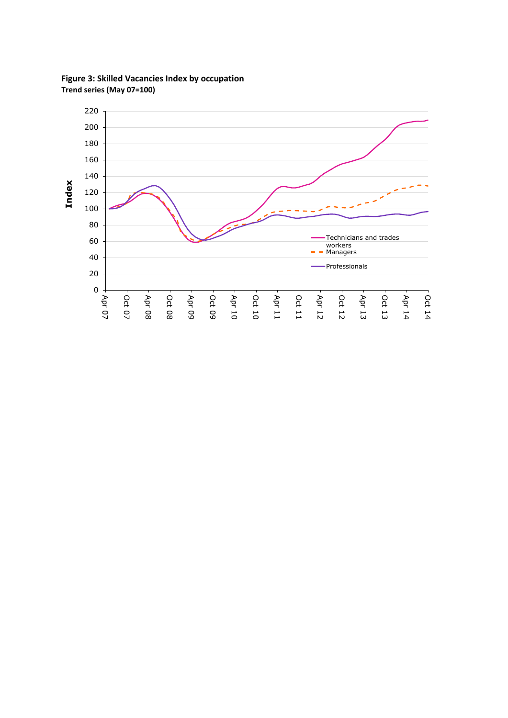

**Figure 3: Skilled Vacancies Index by occupation Trend series (May 07=100)**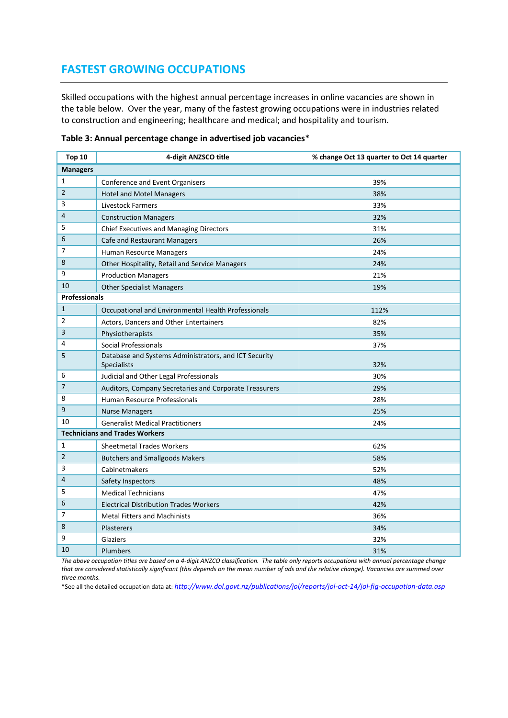## **FASTEST GROWING OCCUPATIONS**

Skilled occupations with the highest annual percentage increases in online vacancies are shown in the table below. Over the year, many of the fastest growing occupations were in industries related to construction and engineering; healthcare and medical; and hospitality and tourism.

| Top 10               | 4-digit ANZSCO title                                                 | % change Oct 13 quarter to Oct 14 quarter |  |  |
|----------------------|----------------------------------------------------------------------|-------------------------------------------|--|--|
| <b>Managers</b>      |                                                                      |                                           |  |  |
| 1                    | Conference and Event Organisers                                      | 39%                                       |  |  |
| $\overline{2}$       | <b>Hotel and Motel Managers</b>                                      | 38%                                       |  |  |
| 3                    | <b>Livestock Farmers</b>                                             | 33%                                       |  |  |
| 4                    | <b>Construction Managers</b>                                         | 32%                                       |  |  |
| 5                    | Chief Executives and Managing Directors                              | 31%                                       |  |  |
| 6                    | Cafe and Restaurant Managers                                         | 26%                                       |  |  |
| 7                    | Human Resource Managers                                              | 24%                                       |  |  |
| 8                    | Other Hospitality, Retail and Service Managers                       | 24%                                       |  |  |
| 9                    | <b>Production Managers</b>                                           | 21%                                       |  |  |
| 10                   | <b>Other Specialist Managers</b>                                     | 19%                                       |  |  |
| <b>Professionals</b> |                                                                      |                                           |  |  |
| $\mathbf{1}$         | Occupational and Environmental Health Professionals                  | 112%                                      |  |  |
| 2                    | Actors, Dancers and Other Entertainers                               | 82%                                       |  |  |
| 3                    | Physiotherapists                                                     | 35%                                       |  |  |
| 4                    | Social Professionals                                                 | 37%                                       |  |  |
| 5                    | Database and Systems Administrators, and ICT Security<br>Specialists | 32%                                       |  |  |
| 6                    | Judicial and Other Legal Professionals                               | 30%                                       |  |  |
| 7                    | Auditors, Company Secretaries and Corporate Treasurers               | 29%                                       |  |  |
| 8                    | Human Resource Professionals                                         | 28%                                       |  |  |
| 9                    | <b>Nurse Managers</b>                                                | 25%                                       |  |  |
| 10                   | <b>Generalist Medical Practitioners</b>                              | 24%                                       |  |  |
|                      | <b>Technicians and Trades Workers</b>                                |                                           |  |  |
| 1                    | <b>Sheetmetal Trades Workers</b>                                     | 62%                                       |  |  |
| $\overline{2}$       | <b>Butchers and Smallgoods Makers</b>                                | 58%                                       |  |  |
| 3                    | Cabinetmakers                                                        | 52%                                       |  |  |
| 4                    | Safety Inspectors                                                    | 48%                                       |  |  |
| 5                    | <b>Medical Technicians</b>                                           | 47%                                       |  |  |
| 6                    | <b>Electrical Distribution Trades Workers</b>                        | 42%                                       |  |  |
| 7                    | <b>Metal Fitters and Machinists</b>                                  | 36%                                       |  |  |
| 8                    | Plasterers                                                           | 34%                                       |  |  |
| 9                    | Glaziers                                                             | 32%                                       |  |  |
| 10                   | <b>Plumbers</b>                                                      | 31%                                       |  |  |

#### **Table 3: Annual percentage change in advertised job vacancies**\*

*The above occupation titles are based on a 4-digit ANZCO classification. The table only reports occupations with annual percentage change that are considered statistically significant (this depends on the mean number of ads and the relative change). Vacancies are summed over three months.*

\*See all the detailed occupation data at: *[http://www.dol.govt.nz/publications/jol/reports/jol-oct-14/jol-fig-occupation-data.asp](http://www.dol.govt.nz/publications/jol/reports/jol-jun-14/jol-fig-occupation-data.asp)*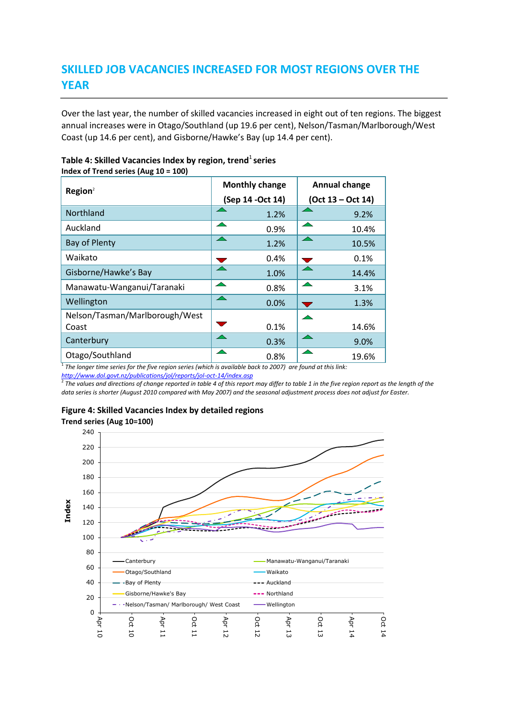## **SKILLED JOB VACANCIES INCREASED FOR MOST REGIONS OVER THE YEAR**

Over the last year, the number of skilled vacancies increased in eight out of ten regions. The biggest annual increases were in Otago/Southland (up 19.6 per cent), Nelson/Tasman/Marlborough/West Coast (up 14.6 per cent), and Gisborne/Hawke's Bay (up 14.4 per cent).

| $m$ and $n$ in the series (Aug 10 – 100) | <b>Monthly change</b> | <b>Annual change</b> |  |
|------------------------------------------|-----------------------|----------------------|--|
| Region <sup>2</sup>                      | (Sep 14 - Oct 14)     | (Oct 13 - Oct 14)    |  |
| Northland                                | 1.2%                  | 9.2%                 |  |
| Auckland                                 | 0.9%                  | 10.4%                |  |
| <b>Bay of Plenty</b>                     | ∽<br>1.2%             | 10.5%                |  |
| Waikato                                  | 0.4%                  | 0.1%                 |  |
| Gisborne/Hawke's Bay                     | 1.0%                  | 14.4%                |  |
| Manawatu-Wanganui/Taranaki               | 0.8%                  | 3.1%                 |  |
| Wellington                               | ◚<br>0.0%             | 1.3%                 |  |
| Nelson/Tasman/Marlborough/West<br>Coast  | 0.1%                  | 14.6%                |  |
| Canterbury                               | 0.3%                  | 9.0%                 |  |
| Otago/Southland                          | 0.8%                  | 19.6%                |  |

#### **Table 4: Skilled Vacancies Index by region, trend<sup>1</sup> series Index of Trend series (Aug 10 = 100)**

1 *The longer time series for the five region series (which is available back to 2007) are found at this link:* 

<u>http://www.dol.qovt.nz/publications/jol/reports/jol-oct-14/index.asp</u><br><sup>2</sup> The values and directions of change reported in table 4 of this report may differ to table 1 in the five region report as the length of the *data series is shorter (August 2010 compared with May 2007) and the seasonal adjustment process does not adjust for Easter.*

### **Figure 4: Skilled Vacancies Index by detailed regions**

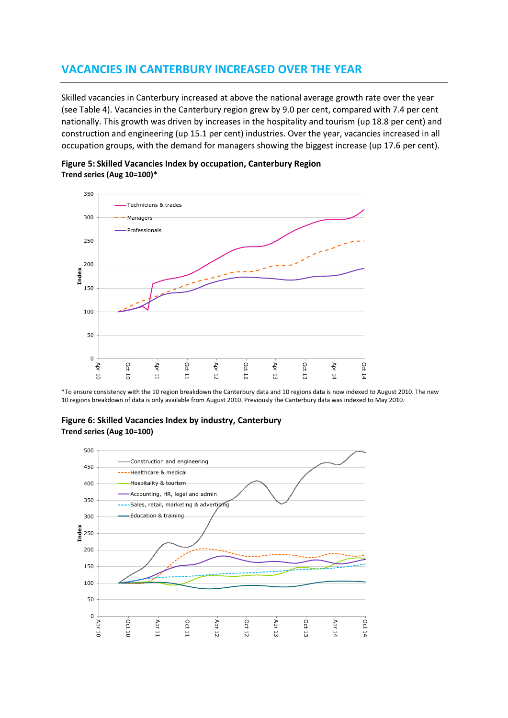## **VACANCIES IN CANTERBURY INCREASED OVER THE YEAR**

Skilled vacancies in Canterbury increased at above the national average growth rate over the year (see Table 4). Vacancies in the Canterbury region grew by 9.0 per cent, compared with 7.4 per cent nationally. This growth was driven by increases in the hospitality and tourism (up 18.8 per cent) and construction and engineering (up 15.1 per cent) industries. Over the year, vacancies increased in all occupation groups, with the demand for managers showing the biggest increase (up 17.6 per cent).





\*To ensure consistency with the 10 region breakdown the Canterbury data and 10 regions data is now indexed to August 2010. The new 10 regions breakdown of data is only available from August 2010. Previously the Canterbury data was indexed to May 2010.